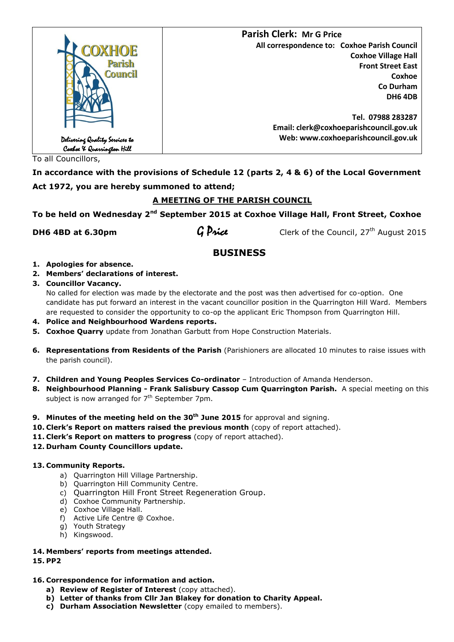

To all Councillors,

**In accordance with the provisions of Schedule 12 (parts 2, 4 & 6) of the Local Government Act 1972, you are hereby summoned to attend;**

# **A MEETING OF THE PARISH COUNCIL**

**To be held on Wednesday 2nd September 2015 at Coxhoe Village Hall, Front Street, Coxhoe** 

**DH6 4BD at 6.30pm**  $\frac{1}{2}$  **G Price** Clerk of the Council, 27<sup>th</sup> August 2015

# **BUSINESS**

- **1. Apologies for absence.**
- **2. Members' declarations of interest.**
- **3. Councillor Vacancy.**

No called for election was made by the electorate and the post was then advertised for co-option. One candidate has put forward an interest in the vacant councillor position in the Quarrington Hill Ward. Members are requested to consider the opportunity to co-op the applicant Eric Thompson from Quarrington Hill.

- **4. Police and Neighbourhood Wardens reports.**
- **5. Coxhoe Quarry** update from Jonathan Garbutt from Hope Construction Materials.
- **6. Representations from Residents of the Parish** (Parishioners are allocated 10 minutes to raise issues with the parish council).
- 7. Children and Young Peoples Services Co-ordinator Introduction of Amanda Henderson.
- **8. Neighbourhood Planning - Frank Salisbury Cassop Cum Quarrington Parish.** A special meeting on this subject is now arranged for 7<sup>th</sup> September 7pm.
- **9. Minutes of the meeting held on the 30th June 2015** for approval and signing.
- **10. Clerk's Report on matters raised the previous month** (copy of report attached).
- **11. Clerk's Report on matters to progress** (copy of report attached).
- **12. Durham County Councillors update.**

# **13. Community Reports.**

- a) Quarrington Hill Village Partnership.
- b) Quarrington Hill Community Centre.
- c) Quarrington Hill Front Street Regeneration Group.
- d) Coxhoe Community Partnership.
- e) Coxhoe Village Hall.
- f) Active Life Centre @ Coxhoe.
- g) Youth Strategy
- h) Kingswood.
- **14. Members' reports from meetings attended. 15. PP2**

# **16. Correspondence for information and action.**

- **a) Review of Register of Interest** (copy attached).
- **b) Letter of thanks from Cllr Jan Blakey for donation to Charity Appeal.**
- **c) Durham Association Newsletter** (copy emailed to members).